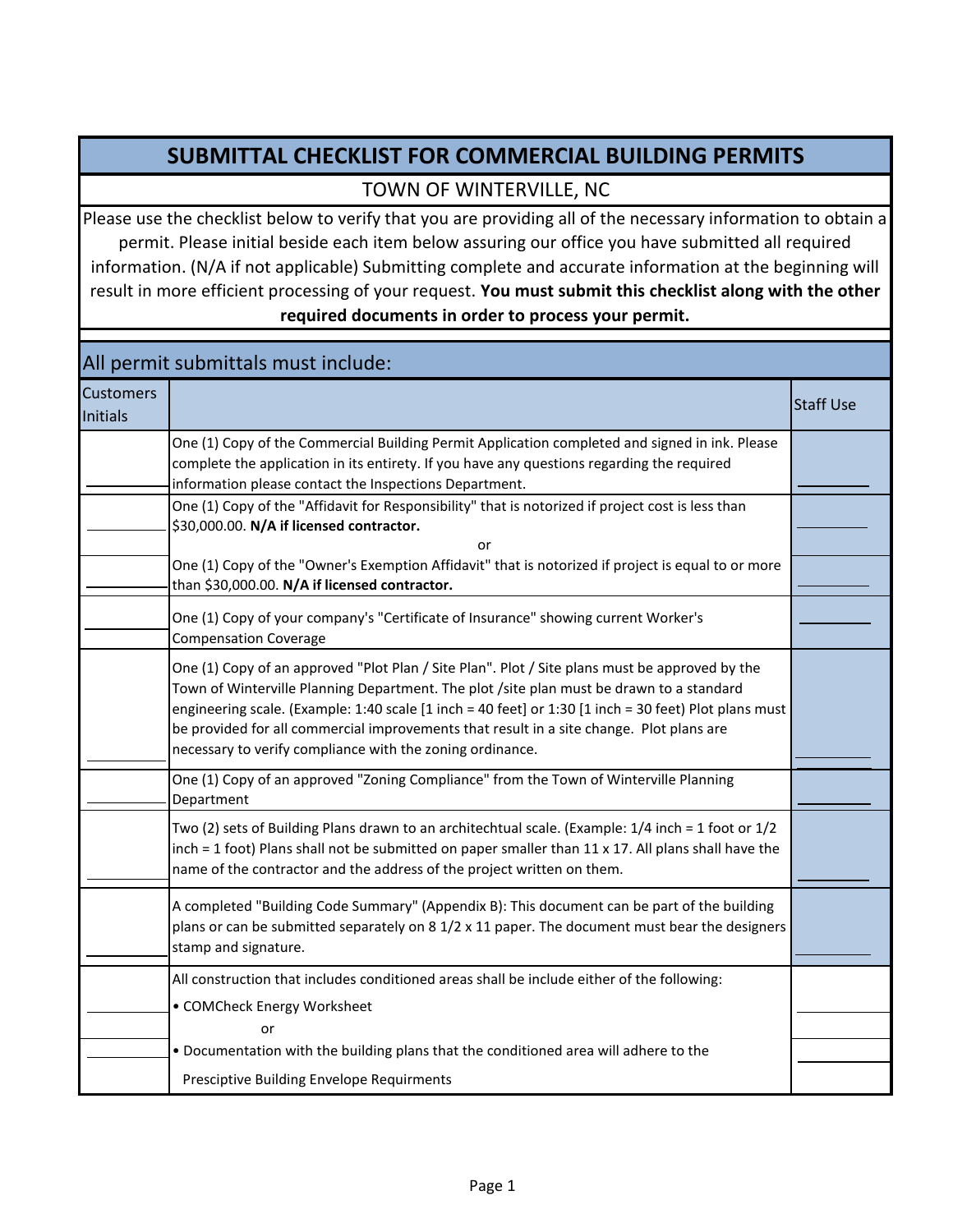## **SUBMITTAL CHECKLIST FOR COMMERCIAL BUILDING PERMITS**

## TOWN OF WINTERVILLE, NC

Please use the checklist below to verify that you are providing all of the necessary information to obtain a permit. Please initial beside each item below assuring our office you have submitted all required information. (N/A if not applicable) Submitting complete and accurate information at the beginning will result in more efficient processing of your request. **You must submit this checklist along with the other required documents in order to process your permit.** 

## **Customers** <u>Initials Staff Use</u> Control of the Control of Control of the Control of Control of The Control of Staff Use 201 or One (1) Copy of the Commercial Building Permit Application completed and signed in ink. Please complete the application in its entirety. If you have any questions regarding the required information please contact the Inspections Department. One (1) Copy of the "Affidavit for Responsibility" that is notorized if project cost is less than \$30,000.00. **N/A if licensed contractor.** One (1) Copy of the "Owner's Exemption Affidavit" that is notorized if project is equal to or more than \$30,000.00. **N/A if licensed contractor.** One (1) Copy of an approved "Plot Plan / Site Plan". Plot / Site plans must be approved by the Town of Winterville Planning Department. The plot /site plan must be drawn to a standard engineering scale. (Example: 1:40 scale [1 inch = 40 feet] or 1:30 [1 inch = 30 feet) Plot plans must be provided for all commercial improvements that result in a site change. Plot plans are necessary to verify compliance with the zoning ordinance. One (1) Copy of an approved "Zoning Compliance" from the Town of Winterville Planning Department Two (2) sets of Building Plans drawn to an architechtual scale. (Example: 1/4 inch = 1 foot or 1/2 inch = 1 foot) Plans shall not be submitted on paper smaller than  $11 \times 17$ . All plans shall have the name of the contractor and the address of the project written on them. All permit submittals must include: One (1) Copy of your company's "Certificate of Insurance" showing current Worker's Compensation Coverage A completed "Building Code Summary" (Appendix B): This document can be part of the building plans or can be submitted separately on 8 1/2 x 11 paper. The document must bear the designers stamp and signature. All construction that includes conditioned areas shall be include either of the following: • COMCheck Energy Worksheet or • Documentation with the building plans that the conditioned area will adhere to the Presciptive Building Envelope Requirments